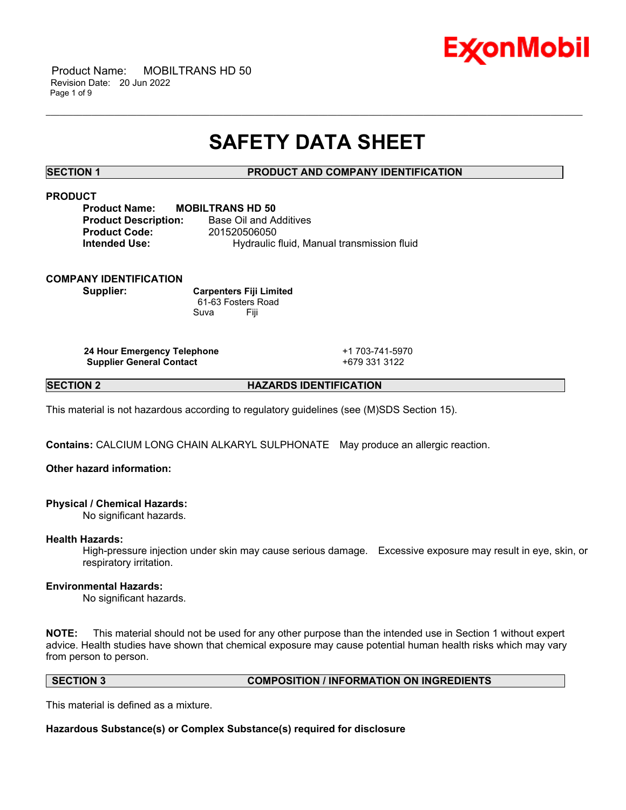

 Product Name: MOBILTRANS HD 50 Revision Date: 20 Jun 2022 Page 1 of 9

# **SAFETY DATA SHEET**

\_\_\_\_\_\_\_\_\_\_\_\_\_\_\_\_\_\_\_\_\_\_\_\_\_\_\_\_\_\_\_\_\_\_\_\_\_\_\_\_\_\_\_\_\_\_\_\_\_\_\_\_\_\_\_\_\_\_\_\_\_\_\_\_\_\_\_\_\_\_\_\_\_\_\_\_\_\_\_\_\_\_\_\_\_\_\_\_\_\_\_\_\_\_\_\_\_\_\_\_\_\_\_\_\_\_\_\_\_\_\_\_\_\_\_\_\_\_

# **SECTION 1 PRODUCT AND COMPANY IDENTIFICATION**

# **PRODUCT**

**Product Name: MOBILTRANS HD 50 Product Description:** Base Oil and Additives **Product Code:** 201520506050 **Intended Use:** Hydraulic fluid, Manual transmission fluid

## **COMPANY IDENTIFICATION**

**Supplier: Carpenters Fiji Limited** 61-63 Fosters Road Suva Fiji

**24 Hour Emergency Telephone** +1 703-741-5970 **Supplier General Contact** +679 331 3122

**SECTION 2 HAZARDS IDENTIFICATION**

This material is not hazardous according to regulatory guidelines (see (M)SDS Section 15).

**Contains:** CALCIUM LONG CHAIN ALKARYL SULPHONATE May produce an allergic reaction.

# **Other hazard information:**

## **Physical / Chemical Hazards:**

No significant hazards.

## **Health Hazards:**

High-pressure injection under skin may cause serious damage. Excessive exposure may result in eye, skin, or respiratory irritation.

## **Environmental Hazards:**

No significant hazards.

**NOTE:** This material should not be used for any other purpose than the intended use in Section 1 without expert advice. Health studies have shown that chemical exposure may cause potential human health risks which may vary from person to person.

# **SECTION 3 COMPOSITION / INFORMATION ON INGREDIENTS**

This material is defined as a mixture.

**Hazardous Substance(s) or Complex Substance(s) required for disclosure**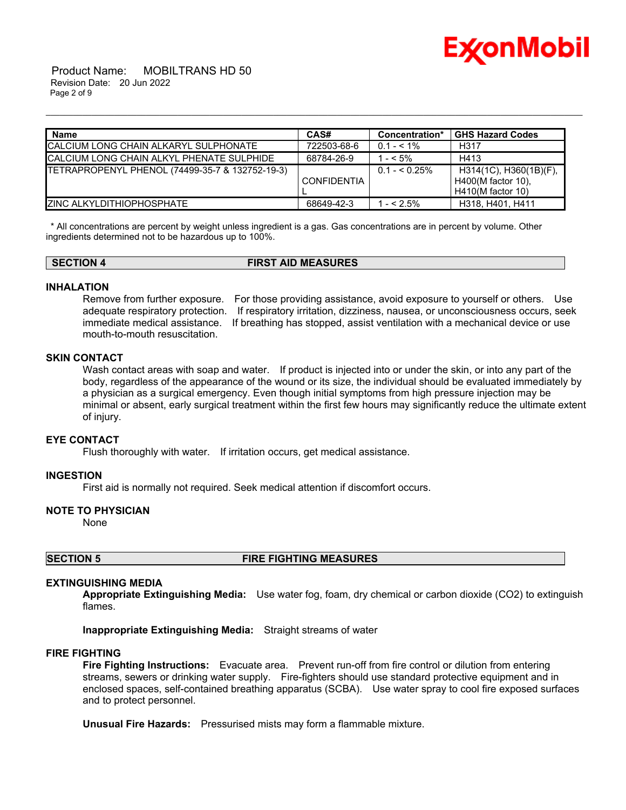

 Product Name: MOBILTRANS HD 50 Revision Date: 20 Jun 2022 Page 2 of 9

| <b>Name</b>                                     | CAS#               | Concentration* | <b>GHS Hazard Codes</b>                                             |
|-------------------------------------------------|--------------------|----------------|---------------------------------------------------------------------|
| ICALCIUM LONG CHAIN ALKARYL SULPHONATE          | 722503-68-6        | $0.1 - 5.1\%$  | H317                                                                |
| ICALCIUM LONG CHAIN ALKYL PHENATE SULPHIDE      | 68784-26-9         | $- < 5\%$      | H413                                                                |
| TETRAPROPENYL PHENOL (74499-35-7 & 132752-19-3) | <b>CONFIDENTIA</b> | $0.1 - 5.25\%$ | H314(1C), H360(1B)(F),<br>H400(M factor 10).<br>$H410(M$ factor 10) |
| IZINC ALKYLDITHIOPHOSPHATE                      | 68649-42-3         | $-52.5\%$      | H318, H401, H411                                                    |

\_\_\_\_\_\_\_\_\_\_\_\_\_\_\_\_\_\_\_\_\_\_\_\_\_\_\_\_\_\_\_\_\_\_\_\_\_\_\_\_\_\_\_\_\_\_\_\_\_\_\_\_\_\_\_\_\_\_\_\_\_\_\_\_\_\_\_\_\_\_\_\_\_\_\_\_\_\_\_\_\_\_\_\_\_\_\_\_\_\_\_\_\_\_\_\_\_\_\_\_\_\_\_\_\_\_\_\_\_\_\_\_\_\_\_\_\_\_

\* All concentrations are percent by weight unless ingredient is a gas. Gas concentrations are in percent by volume. Other ingredients determined not to be hazardous up to 100%.

**SECTION 4 FIRST AID MEASURES**

# **INHALATION**

Remove from further exposure. For those providing assistance, avoid exposure to yourself or others. Use adequate respiratory protection. If respiratory irritation, dizziness, nausea, or unconsciousness occurs, seek immediate medical assistance. If breathing has stopped, assist ventilation with a mechanical device or use mouth-to-mouth resuscitation.

### **SKIN CONTACT**

Wash contact areas with soap and water. If product is injected into or under the skin, or into any part of the body, regardless of the appearance of the wound or its size, the individual should be evaluated immediately by a physician as a surgical emergency. Even though initial symptoms from high pressure injection may be minimal or absent, early surgical treatment within the first few hours may significantly reduce the ultimate extent of injury.

#### **EYE CONTACT**

Flush thoroughly with water. If irritation occurs, get medical assistance.

#### **INGESTION**

First aid is normally not required. Seek medical attention if discomfort occurs.

## **NOTE TO PHYSICIAN**

None

**SECTION 5 FIRE FIGHTING MEASURES**

#### **EXTINGUISHING MEDIA**

**Appropriate Extinguishing Media:** Use water fog, foam, dry chemical or carbon dioxide (CO2) to extinguish flames.

**Inappropriate Extinguishing Media:** Straight streams of water

# **FIRE FIGHTING**

**Fire Fighting Instructions:** Evacuate area. Prevent run-off from fire control or dilution from entering streams, sewers or drinking water supply. Fire-fighters should use standard protective equipment and in enclosed spaces, self-contained breathing apparatus (SCBA). Use water spray to cool fire exposed surfaces and to protect personnel.

**Unusual Fire Hazards:** Pressurised mists may form a flammable mixture.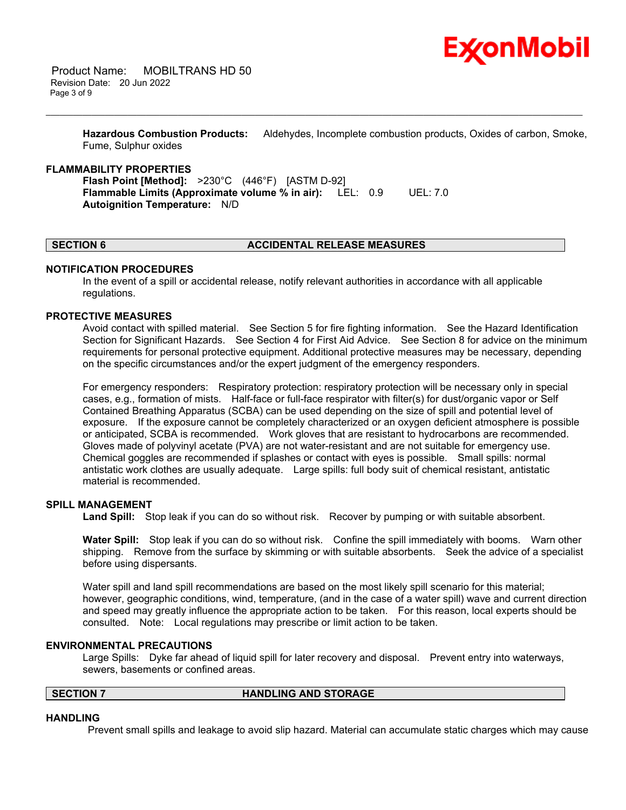

**Hazardous Combustion Products:** Aldehydes, Incomplete combustion products, Oxides of carbon, Smoke, Fume, Sulphur oxides

\_\_\_\_\_\_\_\_\_\_\_\_\_\_\_\_\_\_\_\_\_\_\_\_\_\_\_\_\_\_\_\_\_\_\_\_\_\_\_\_\_\_\_\_\_\_\_\_\_\_\_\_\_\_\_\_\_\_\_\_\_\_\_\_\_\_\_\_\_\_\_\_\_\_\_\_\_\_\_\_\_\_\_\_\_\_\_\_\_\_\_\_\_\_\_\_\_\_\_\_\_\_\_\_\_\_\_\_\_\_\_\_\_\_\_\_\_\_

#### **FLAMMABILITY PROPERTIES**

**Flash Point [Method]:** >230°C (446°F) [ASTM D-92] **Flammable Limits (Approximate volume % in air):** LEL: 0.9 UEL: 7.0 **Autoignition Temperature:** N/D

#### **SECTION 6 ACCIDENTAL RELEASE MEASURES**

#### **NOTIFICATION PROCEDURES**

In the event of a spill or accidental release, notify relevant authorities in accordance with all applicable regulations.

#### **PROTECTIVE MEASURES**

Avoid contact with spilled material. See Section 5 for fire fighting information. See the Hazard Identification Section for Significant Hazards. See Section 4 for First Aid Advice. See Section 8 for advice on the minimum requirements for personal protective equipment. Additional protective measures may be necessary, depending on the specific circumstances and/or the expert judgment of the emergency responders.

For emergency responders: Respiratory protection: respiratory protection will be necessary only in special cases, e.g., formation of mists. Half-face or full-face respirator with filter(s) for dust/organic vapor or Self Contained Breathing Apparatus (SCBA) can be used depending on the size of spill and potential level of exposure. If the exposure cannot be completely characterized or an oxygen deficient atmosphere is possible or anticipated, SCBA is recommended. Work gloves that are resistant to hydrocarbons are recommended. Gloves made of polyvinyl acetate (PVA) are not water-resistant and are not suitable for emergency use. Chemical goggles are recommended if splashes or contact with eyes is possible. Small spills: normal antistatic work clothes are usually adequate. Large spills: full body suit of chemical resistant, antistatic material is recommended.

#### **SPILL MANAGEMENT**

**Land Spill:** Stop leak if you can do so without risk. Recover by pumping or with suitable absorbent.

**Water Spill:** Stop leak if you can do so without risk. Confine the spill immediately with booms. Warn other shipping. Remove from the surface by skimming or with suitable absorbents. Seek the advice of a specialist before using dispersants.

Water spill and land spill recommendations are based on the most likely spill scenario for this material; however, geographic conditions, wind, temperature, (and in the case of a water spill) wave and current direction and speed may greatly influence the appropriate action to be taken. For this reason, local experts should be consulted. Note: Local regulations may prescribe or limit action to be taken.

#### **ENVIRONMENTAL PRECAUTIONS**

Large Spills: Dyke far ahead of liquid spill for later recovery and disposal. Prevent entry into waterways, sewers, basements or confined areas.

#### **SECTION 7 HANDLING AND STORAGE**

#### **HANDLING**

Prevent small spills and leakage to avoid slip hazard. Material can accumulate static charges which may cause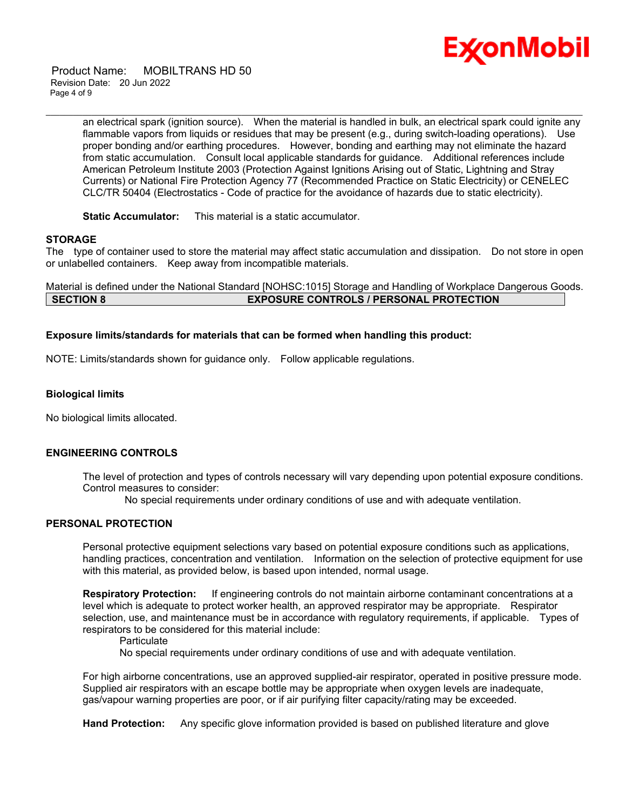

 Product Name: MOBILTRANS HD 50 Revision Date: 20 Jun 2022 Page 4 of 9

> an electrical spark (ignition source). When the material is handled in bulk, an electrical spark could ignite any flammable vapors from liquids or residues that may be present (e.g., during switch-loading operations). Use proper bonding and/or earthing procedures. However, bonding and earthing may not eliminate the hazard from static accumulation. Consult local applicable standards for guidance. Additional references include American Petroleum Institute 2003 (Protection Against Ignitions Arising out of Static, Lightning and Stray Currents) or National Fire Protection Agency 77 (Recommended Practice on Static Electricity) or CENELEC CLC/TR 50404 (Electrostatics - Code of practice for the avoidance of hazards due to static electricity).

\_\_\_\_\_\_\_\_\_\_\_\_\_\_\_\_\_\_\_\_\_\_\_\_\_\_\_\_\_\_\_\_\_\_\_\_\_\_\_\_\_\_\_\_\_\_\_\_\_\_\_\_\_\_\_\_\_\_\_\_\_\_\_\_\_\_\_\_\_\_\_\_\_\_\_\_\_\_\_\_\_\_\_\_\_\_\_\_\_\_\_\_\_\_\_\_\_\_\_\_\_\_\_\_\_\_\_\_\_\_\_\_\_\_\_\_\_\_

**Static Accumulator:** This material is a static accumulator.

#### **STORAGE**

The type of container used to store the material may affect static accumulation and dissipation. Do not store in open or unlabelled containers. Keep away from incompatible materials.

Material is defined under the National Standard [NOHSC:1015] Storage and Handling of Workplace Dangerous Goods. **SECTION 8 EXPOSURE CONTROLS / PERSONAL PROTECTION**

#### **Exposure limits/standards for materials that can be formed when handling this product:**

NOTE: Limits/standards shown for guidance only. Follow applicable regulations.

#### **Biological limits**

No biological limits allocated.

#### **ENGINEERING CONTROLS**

The level of protection and types of controls necessary will vary depending upon potential exposure conditions. Control measures to consider:

No special requirements under ordinary conditions of use and with adequate ventilation.

# **PERSONAL PROTECTION**

Personal protective equipment selections vary based on potential exposure conditions such as applications, handling practices, concentration and ventilation. Information on the selection of protective equipment for use with this material, as provided below, is based upon intended, normal usage.

**Respiratory Protection:** If engineering controls do not maintain airborne contaminant concentrations at a level which is adequate to protect worker health, an approved respirator may be appropriate. Respirator selection, use, and maintenance must be in accordance with regulatory requirements, if applicable. Types of respirators to be considered for this material include:

**Particulate** 

No special requirements under ordinary conditions of use and with adequate ventilation.

For high airborne concentrations, use an approved supplied-air respirator, operated in positive pressure mode. Supplied air respirators with an escape bottle may be appropriate when oxygen levels are inadequate, gas/vapour warning properties are poor, or if air purifying filter capacity/rating may be exceeded.

**Hand Protection:** Any specific glove information provided is based on published literature and glove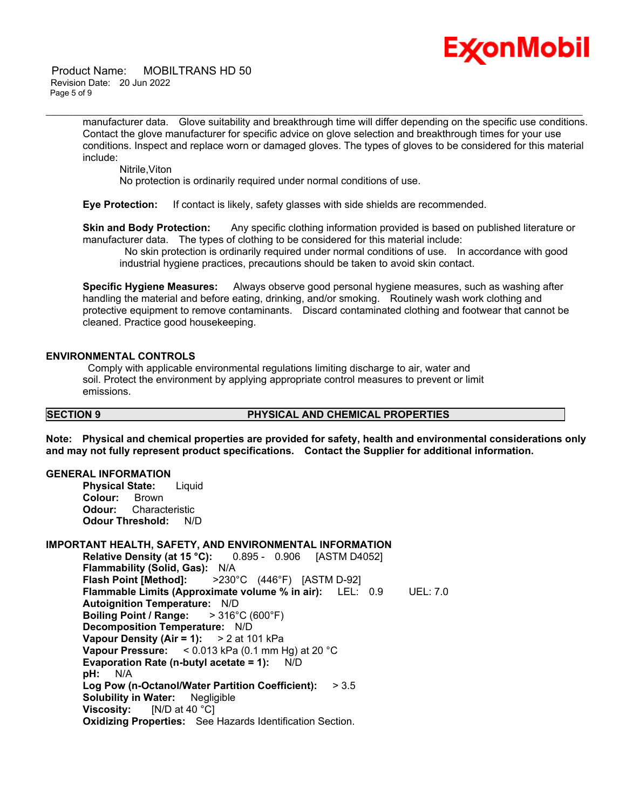

 Product Name: MOBILTRANS HD 50 Revision Date: 20 Jun 2022 Page 5 of 9

> manufacturer data. Glove suitability and breakthrough time will differ depending on the specific use conditions. Contact the glove manufacturer for specific advice on glove selection and breakthrough times for your use conditions. Inspect and replace worn or damaged gloves. The types of gloves to be considered for this material include:

\_\_\_\_\_\_\_\_\_\_\_\_\_\_\_\_\_\_\_\_\_\_\_\_\_\_\_\_\_\_\_\_\_\_\_\_\_\_\_\_\_\_\_\_\_\_\_\_\_\_\_\_\_\_\_\_\_\_\_\_\_\_\_\_\_\_\_\_\_\_\_\_\_\_\_\_\_\_\_\_\_\_\_\_\_\_\_\_\_\_\_\_\_\_\_\_\_\_\_\_\_\_\_\_\_\_\_\_\_\_\_\_\_\_\_\_\_\_

Nitrile,Viton No protection is ordinarily required under normal conditions of use.

**Eye Protection:** If contact is likely, safety glasses with side shields are recommended.

**Skin and Body Protection:** Any specific clothing information provided is based on published literature or manufacturer data. The types of clothing to be considered for this material include:

No skin protection is ordinarily required under normal conditions of use. In accordance with good industrial hygiene practices, precautions should be taken to avoid skin contact.

**Specific Hygiene Measures:** Always observe good personal hygiene measures, such as washing after handling the material and before eating, drinking, and/or smoking. Routinely wash work clothing and protective equipment to remove contaminants. Discard contaminated clothing and footwear that cannot be cleaned. Practice good housekeeping.

#### **ENVIRONMENTAL CONTROLS**

Comply with applicable environmental regulations limiting discharge to air, water and soil. Protect the environment by applying appropriate control measures to prevent or limit emissions.

#### **SECTION 9 PHYSICAL AND CHEMICAL PROPERTIES**

**Note: Physical and chemical properties are provided for safety, health and environmental considerations only and may not fully represent product specifications. Contact the Supplier for additional information.**

#### **GENERAL INFORMATION**

**Physical State:** Liquid **Colour:** Brown **Odour:** Characteristic **Odour Threshold:** N/D

## **IMPORTANT HEALTH, SAFETY, AND ENVIRONMENTAL INFORMATION**

**Relative Density (at 15 °C):** 0.895 - 0.906 [ASTM D4052] **Flammability (Solid, Gas):** N/A **Flash Point [Method]:** >230°C (446°F) [ASTM D-92] **Flammable Limits (Approximate volume % in air):** LEL: 0.9 UEL: 7.0 **Autoignition Temperature:** N/D **Boiling Point / Range:** > 316°C (600°F) **Decomposition Temperature:** N/D **Vapour Density (Air = 1):** > 2 at 101 kPa **Vapour Pressure:** < 0.013 kPa (0.1 mm Hg) at 20 °C **Evaporation Rate (n-butyl acetate = 1):** N/D **pH:** N/A **Log Pow (n-Octanol/Water Partition Coefficient):** > 3.5 **Solubility in Water:** Negligible **Viscosity:** [N/D at 40 °C] **Oxidizing Properties:** See Hazards Identification Section.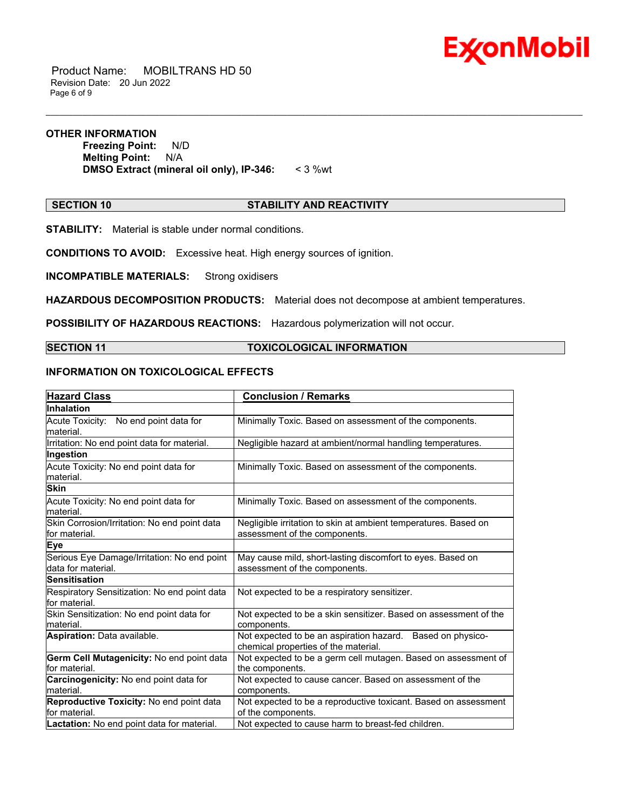

 Product Name: MOBILTRANS HD 50 Revision Date: 20 Jun 2022 Page 6 of 9

#### **OTHER INFORMATION**

**Freezing Point:** N/D **Melting Point:** N/A **DMSO Extract (mineral oil only), IP-346:** < 3 %wt

# **SECTION 10 STABILITY AND REACTIVITY**

\_\_\_\_\_\_\_\_\_\_\_\_\_\_\_\_\_\_\_\_\_\_\_\_\_\_\_\_\_\_\_\_\_\_\_\_\_\_\_\_\_\_\_\_\_\_\_\_\_\_\_\_\_\_\_\_\_\_\_\_\_\_\_\_\_\_\_\_\_\_\_\_\_\_\_\_\_\_\_\_\_\_\_\_\_\_\_\_\_\_\_\_\_\_\_\_\_\_\_\_\_\_\_\_\_\_\_\_\_\_\_\_\_\_\_\_\_\_

**STABILITY:** Material is stable under normal conditions.

**CONDITIONS TO AVOID:** Excessive heat. High energy sources of ignition.

**INCOMPATIBLE MATERIALS:** Strong oxidisers

**HAZARDOUS DECOMPOSITION PRODUCTS:** Material does not decompose at ambient temperatures.

**POSSIBILITY OF HAZARDOUS REACTIONS:** Hazardous polymerization will not occur.

#### **SECTION 11 TOXICOLOGICAL INFORMATION**

## **INFORMATION ON TOXICOLOGICAL EFFECTS**

| <b>Hazard Class</b>                                               | <b>Conclusion / Remarks</b>                                                                        |
|-------------------------------------------------------------------|----------------------------------------------------------------------------------------------------|
| Inhalation                                                        |                                                                                                    |
| Acute Toxicity: No end point data for<br>material.                | Minimally Toxic. Based on assessment of the components.                                            |
| Irritation: No end point data for material.                       | Negligible hazard at ambient/normal handling temperatures.                                         |
| Ingestion                                                         |                                                                                                    |
| Acute Toxicity: No end point data for<br>material.                | Minimally Toxic. Based on assessment of the components.                                            |
| <b>Skin</b>                                                       |                                                                                                    |
| Acute Toxicity: No end point data for<br>material.                | Minimally Toxic. Based on assessment of the components.                                            |
| Skin Corrosion/Irritation: No end point data<br>for material.     | Negligible irritation to skin at ambient temperatures. Based on<br>assessment of the components.   |
| <b>Eye</b>                                                        |                                                                                                    |
| Serious Eye Damage/Irritation: No end point<br>data for material. | May cause mild, short-lasting discomfort to eyes. Based on<br>assessment of the components.        |
| <b>Sensitisation</b>                                              |                                                                                                    |
| Respiratory Sensitization: No end point data<br>for material.     | Not expected to be a respiratory sensitizer.                                                       |
| Skin Sensitization: No end point data for<br>material.            | Not expected to be a skin sensitizer. Based on assessment of the<br>components.                    |
| Aspiration: Data available.                                       | Not expected to be an aspiration hazard. Based on physico-<br>chemical properties of the material. |
| Germ Cell Mutagenicity: No end point data<br>for material.        | Not expected to be a germ cell mutagen. Based on assessment of<br>the components.                  |
| Carcinogenicity: No end point data for<br>material.               | Not expected to cause cancer. Based on assessment of the<br>components.                            |
| Reproductive Toxicity: No end point data<br>for material.         | Not expected to be a reproductive toxicant. Based on assessment<br>of the components.              |
| Lactation: No end point data for material.                        | Not expected to cause harm to breast-fed children.                                                 |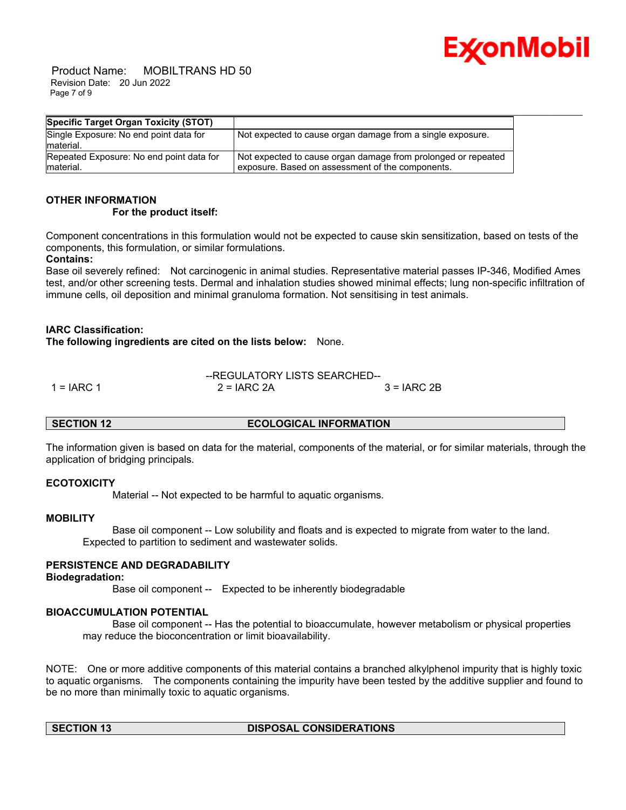

 Product Name: MOBILTRANS HD 50 Revision Date: 20 Jun 2022 Page 7 of 9

| Specific Target Organ Toxicity (STOT)               |                                                               |
|-----------------------------------------------------|---------------------------------------------------------------|
| Single Exposure: No end point data for<br>material. | Not expected to cause organ damage from a single exposure.    |
| Repeated Exposure: No end point data for            | Not expected to cause organ damage from prolonged or repeated |
| material.                                           | exposure. Based on assessment of the components.              |

#### **OTHER INFORMATION For the product itself:**

Component concentrations in this formulation would not be expected to cause skin sensitization, based on tests of the components, this formulation, or similar formulations.

## **Contains:**

Base oil severely refined: Not carcinogenic in animal studies. Representative material passes IP-346, Modified Ames test, and/or other screening tests. Dermal and inhalation studies showed minimal effects; lung non-specific infiltration of immune cells, oil deposition and minimal granuloma formation. Not sensitising in test animals.

## **IARC Classification:**

**The following ingredients are cited on the lists below:** None.

|              | --REGULATORY LISTS SEARCHED-- |               |
|--------------|-------------------------------|---------------|
| $1 = IARC 1$ | $2 = IARC 2A$                 | $3 = IARC 2B$ |

## **SECTION 12 ECOLOGICAL INFORMATION**

The information given is based on data for the material, components of the material, or for similar materials, through the application of bridging principals.

## **ECOTOXICITY**

Material -- Not expected to be harmful to aquatic organisms.

#### **MOBILITY**

 Base oil component -- Low solubility and floats and is expected to migrate from water to the land. Expected to partition to sediment and wastewater solids.

## **PERSISTENCE AND DEGRADABILITY**

#### **Biodegradation:**

Base oil component -- Expected to be inherently biodegradable

## **BIOACCUMULATION POTENTIAL**

 Base oil component -- Has the potential to bioaccumulate, however metabolism or physical properties may reduce the bioconcentration or limit bioavailability.

NOTE: One or more additive components of this material contains a branched alkylphenol impurity that is highly toxic to aquatic organisms. The components containing the impurity have been tested by the additive supplier and found to be no more than minimally toxic to aquatic organisms.

# **SECTION 13 DISPOSAL CONSIDERATIONS**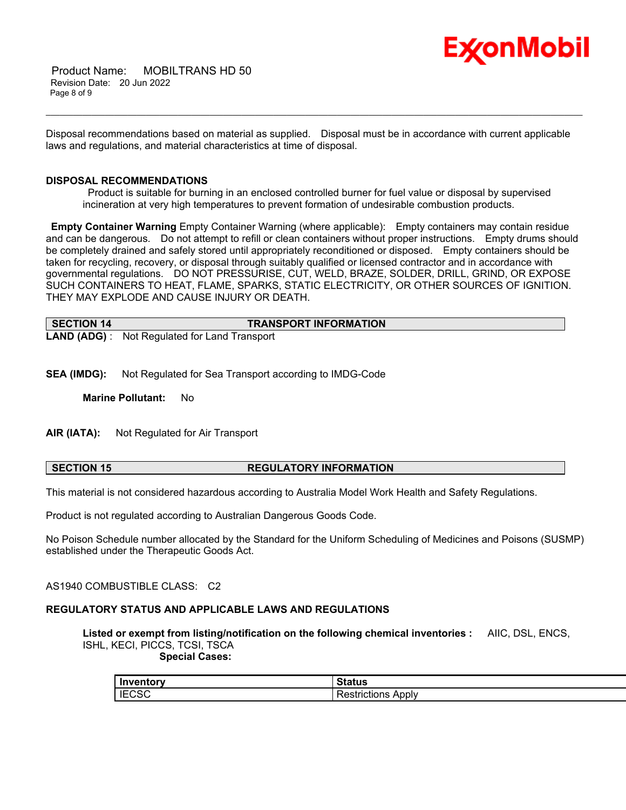

 Product Name: MOBILTRANS HD 50 Revision Date: 20 Jun 2022 Page 8 of 9

Disposal recommendations based on material as supplied. Disposal must be in accordance with current applicable laws and regulations, and material characteristics at time of disposal.

\_\_\_\_\_\_\_\_\_\_\_\_\_\_\_\_\_\_\_\_\_\_\_\_\_\_\_\_\_\_\_\_\_\_\_\_\_\_\_\_\_\_\_\_\_\_\_\_\_\_\_\_\_\_\_\_\_\_\_\_\_\_\_\_\_\_\_\_\_\_\_\_\_\_\_\_\_\_\_\_\_\_\_\_\_\_\_\_\_\_\_\_\_\_\_\_\_\_\_\_\_\_\_\_\_\_\_\_\_\_\_\_\_\_\_\_\_\_

#### **DISPOSAL RECOMMENDATIONS**

Product is suitable for burning in an enclosed controlled burner for fuel value or disposal by supervised incineration at very high temperatures to prevent formation of undesirable combustion products.

**Empty Container Warning** Empty Container Warning (where applicable): Empty containers may contain residue and can be dangerous. Do not attempt to refill or clean containers without proper instructions. Empty drums should be completely drained and safely stored until appropriately reconditioned or disposed. Empty containers should be taken for recycling, recovery, or disposal through suitably qualified or licensed contractor and in accordance with governmental regulations. DO NOT PRESSURISE, CUT, WELD, BRAZE, SOLDER, DRILL, GRIND, OR EXPOSE SUCH CONTAINERS TO HEAT, FLAME, SPARKS, STATIC ELECTRICITY, OR OTHER SOURCES OF IGNITION. THEY MAY EXPLODE AND CAUSE INJURY OR DEATH.

| SECTION 14 | <b>TRANSPORT INFORMATION</b>                         |  |
|------------|------------------------------------------------------|--|
|            | <b>LAND (ADG)</b> : Not Regulated for Land Transport |  |

**SEA (IMDG):** Not Regulated for Sea Transport according to IMDG-Code

**Marine Pollutant:** No

**AIR (IATA):** Not Regulated for Air Transport

## **SECTION 15 REGULATORY INFORMATION**

This material is not considered hazardous according to Australia Model Work Health and Safety Regulations.

Product is not regulated according to Australian Dangerous Goods Code.

No Poison Schedule number allocated by the Standard for the Uniform Scheduling of Medicines and Poisons (SUSMP) established under the Therapeutic Goods Act.

AS1940 COMBUSTIBLE CLASS: C2

#### **REGULATORY STATUS AND APPLICABLE LAWS AND REGULATIONS**

**Listed or exempt from listing/notification on the following chemical inventories :** AIIC, DSL, ENCS, ISHL, KECI, PICCS, TCSI, TSCA  **Special Cases:**

| Inventory    | status                              |
|--------------|-------------------------------------|
| <b>IECSC</b> | Apply<br>---------<br>Restrictions. |